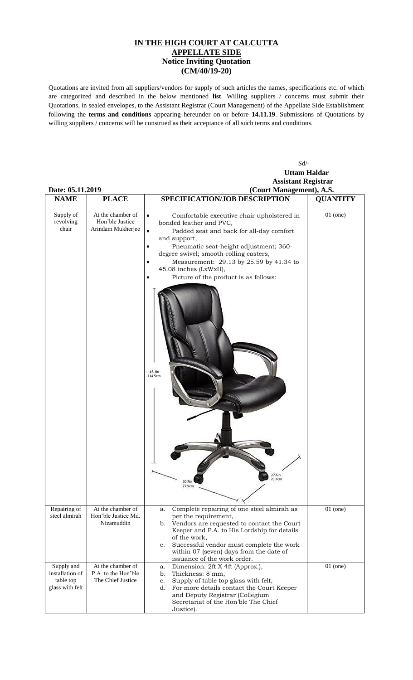## **IN THE HIGH COURT AT CALCUTTA APPELLATE SIDE Notice Inviting Quotation (CM/40/19-20)**

Quotations are invited from all suppliers/vendors for supply of such articles the names, specifications etc. of which are categorized and described in the below mentioned **list**. Willing suppliers / concerns must submit their Quotations, in sealed envelopes, to the Assistant Registrar (Court Management) of the Appellate Side Establishment following the **terms and conditions** appearing hereunder on or before **14.11.19**. Submissions of Quotations by willing suppliers / concerns will be construed as their acceptance of all such terms and conditions.

| Date: 05.11.2019                                              |                                                               | $Sd$ /-<br><b>Uttam Haldar</b><br><b>Assistant Registrar</b><br>(Court Management), A.S.                                                                                                                                                                                                                                                                                  |                 |
|---------------------------------------------------------------|---------------------------------------------------------------|---------------------------------------------------------------------------------------------------------------------------------------------------------------------------------------------------------------------------------------------------------------------------------------------------------------------------------------------------------------------------|-----------------|
| <b>NAME</b>                                                   | <b>PLACE</b>                                                  | SPECIFICATION/JOB DESCRIPTION                                                                                                                                                                                                                                                                                                                                             | <b>QUANTITY</b> |
| Supply of<br>revolving<br>chair                               | At the chamber of<br>Hon'ble Justice<br>Arindam Mukherjee     | $\bullet$<br>Comfortable executive chair upholstered in<br>bonded leather and PVC,<br>$\bullet$<br>Padded seat and back for all-day comfort<br>and support,<br>Pneumatic seat-height adjustment; 360-<br>$\bullet$<br>degree swivel; smooth-rolling casters,<br>Measurement: 29.13 by 25.59 by 41.34 to<br>45.08 inches (LxWxH),<br>Picture of the product is as follows: | $01$ (one)      |
|                                                               |                                                               | 45.1in<br>114.5cm<br>27.6ir<br>70.1cm<br>30.<br>77.9cm                                                                                                                                                                                                                                                                                                                    |                 |
| Repairing of<br>steel almirah                                 | At the chamber of<br>Hon'ble Justice Md.<br>Nizamuddin        | Complete repairing of one steel almirah as<br>a.<br>per the requirement,<br>Vendors are requested to contact the Court<br>b.<br>Keeper and P.A. to His Lordship for details<br>of the work,<br>Successful vendor must complete the work<br>$c_{\cdot}$                                                                                                                    | $01$ (one)      |
| Supply and<br>installation of<br>table top<br>glass with felt | At the chamber of<br>P.A. to the Hon'ble<br>The Chief Justice | within 07 (seven) days from the date of<br>issuance of the work order.<br>Dimension: 2ft X 4ft (Approx.),<br>a.<br>Thickness: 8 mm,<br>b.<br>Supply of table top glass with felt,<br>c.<br>For more details contact the Court Keeper<br>d.<br>and Deputy Registrar (Collegium<br>Secretariat of the Hon'ble The Chief<br>Justice).                                        | $01$ (one)      |